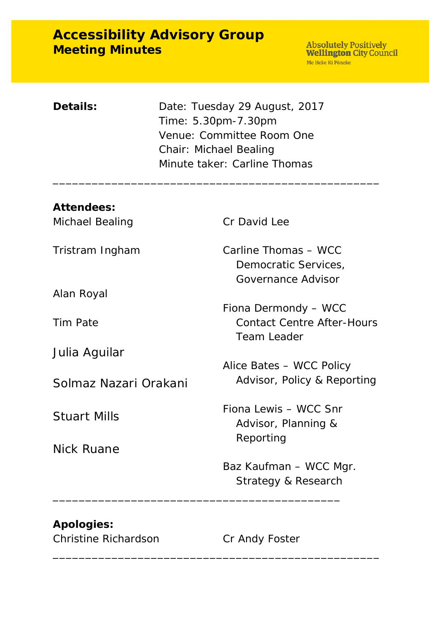# **Accessibility Advisory Group Meeting Minutes**

| Details: | Date: Tuesday 29 August, 2017 |
|----------|-------------------------------|
|          | Time: 5.30pm-7.30pm           |
|          | Venue: Committee Room One     |
|          | <b>Chair: Michael Bealing</b> |
|          | Minute taker: Carline Thomas  |

| Cr David Lee                                                             |  |
|--------------------------------------------------------------------------|--|
| Carline Thomas - WCC<br>Democratic Services,<br>Governance Advisor       |  |
|                                                                          |  |
| Fiona Dermondy - WCC<br><b>Contact Centre After-Hours</b><br>Team Leader |  |
|                                                                          |  |
| Alice Bates - WCC Policy<br>Advisor, Policy & Reporting                  |  |
| Fiona Lewis - WCC Snr<br>Advisor, Planning &<br>Reporting                |  |
|                                                                          |  |
| Baz Kaufman – WCC Mgr.<br>Strategy & Research                            |  |
|                                                                          |  |

\_\_\_\_\_\_\_\_\_\_\_\_\_\_\_\_\_\_\_\_\_\_\_\_\_\_\_\_\_\_\_\_\_\_\_\_\_\_\_\_\_\_\_\_\_\_\_\_\_\_

\_\_\_\_\_\_\_\_\_\_\_\_\_\_\_\_\_\_\_\_\_\_\_\_\_\_\_\_\_\_\_\_\_\_\_\_\_\_\_\_\_\_\_\_\_\_\_\_\_\_

## **Apologies:**

Christine Richardson Cr Andy Foster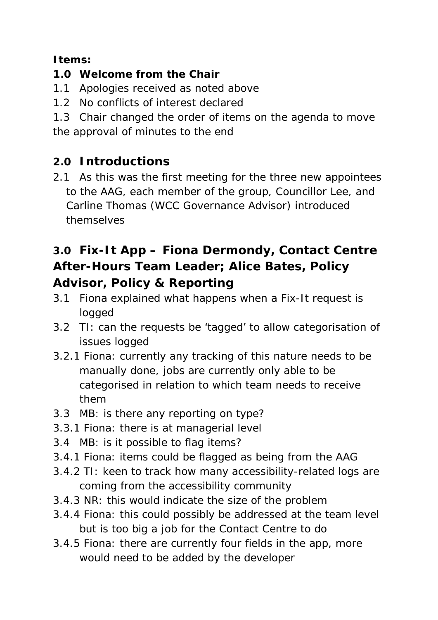## **Items:**

## **1.0 Welcome from the Chair**

- 1.1 Apologies received as noted above
- 1.2 No conflicts of interest declared
- 1.3 Chair changed the order of items on the agenda to move the approval of minutes to the end

# **2.0 Introductions**

2.1 As this was the first meeting for the three new appointees to the AAG, each member of the group, Councillor Lee, and Carline Thomas (WCC Governance Advisor) introduced themselves

# **3.0 Fix-It App – Fiona Dermondy, Contact Centre After-Hours Team Leader; Alice Bates, Policy Advisor, Policy & Reporting**

- 3.1 Fiona explained what happens when a Fix-It request is logged
- 3.2 TI: can the requests be 'tagged' to allow categorisation of issues logged
- 3.2.1 Fiona: currently any tracking of this nature needs to be manually done, jobs are currently only able to be categorised in relation to which team needs to receive them
- 3.3 MB: is there any reporting on type?
- 3.3.1 Fiona: there is at managerial level
- 3.4 MB: is it possible to flag items?
- 3.4.1 Fiona: items could be flagged as being from the AAG
- 3.4.2 TI: keen to track how many accessibility-related logs are coming from the accessibility community
- 3.4.3 NR: this would indicate the size of the problem
- 3.4.4 Fiona: this could possibly be addressed at the team level but is too big a job for the Contact Centre to do
- 3.4.5 Fiona: there are currently four fields in the app, more would need to be added by the developer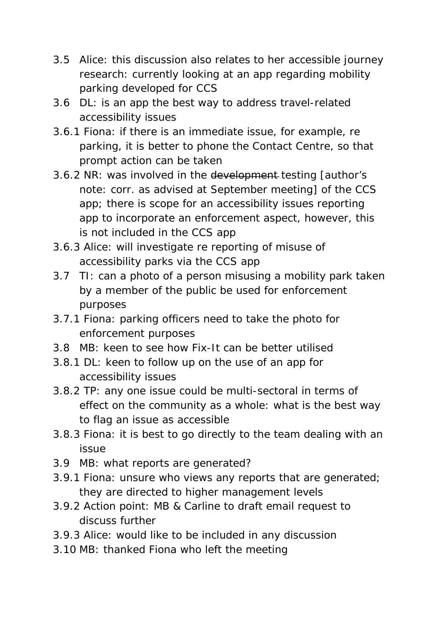- 3.5 Alice: this discussion also relates to her accessible journey research: currently looking at an app regarding mobility parking developed for CCS
- 3.6 DL: is an app the best way to address travel-related accessibility issues
- 3.6.1 Fiona: if there is an immediate issue, for example, re parking, it is better to phone the Contact Centre, so that prompt action can be taken
- 3.6.2 NR: was involved in the development testing [author's note: corr. as advised at September meeting] of the CCS app; there is scope for an accessibility issues reporting app to incorporate an enforcement aspect, however, this is not included in the CCS app
- 3.6.3 Alice: will investigate re reporting of misuse of accessibility parks via the CCS app
- 3.7 TI: can a photo of a person misusing a mobility park taken by a member of the public be used for enforcement purposes
- 3.7.1 Fiona: parking officers need to take the photo for enforcement purposes
- 3.8 MB: keen to see how Fix-It can be better utilised
- 3.8.1 DL: keen to follow up on the use of an app for accessibility issues
- 3.8.2 TP: any one issue could be multi-sectoral in terms of effect on the community as a whole: what is the best way to flag an issue as accessible
- 3.8.3 Fiona: it is best to go directly to the team dealing with an issue
- 3.9 MB: what reports are generated?
- 3.9.1 Fiona: unsure who views any reports that are generated; they are directed to higher management levels
- 3.9.2 *Action point:* MB & Carline to draft email request to discuss further
- 3.9.3 Alice: would like to be included in any discussion
- 3.10 MB: thanked Fiona who left the meeting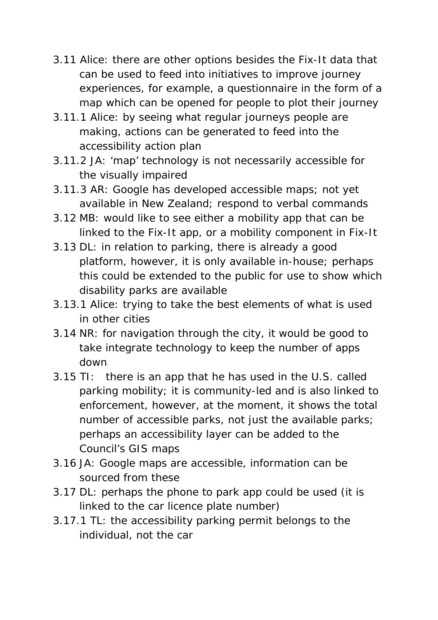- 3.11 Alice: there are other options besides the Fix-It data that can be used to feed into initiatives to improve journey experiences, for example, a questionnaire in the form of a map which can be opened for people to plot their journey
- 3.11.1 Alice: by seeing what regular journeys people are making, actions can be generated to feed into the accessibility action plan
- 3.11.2 JA: 'map' technology is not necessarily accessible for the visually impaired
- 3.11.3 AR: Google has developed accessible maps; not yet available in New Zealand; respond to verbal commands
- 3.12 MB: would like to see either a mobility app that can be linked to the Fix-It app, or a mobility component in Fix-It
- 3.13 DL: in relation to parking, there is already a good platform, however, it is only available in-house; perhaps this could be extended to the public for use to show which disability parks are available
- 3.13.1 Alice: trying to take the best elements of what is used in other cities
- 3.14 NR: for navigation through the city, it would be good to take integrate technology to keep the number of apps down
- 3.15 TI: there is an app that he has used in the U.S. called parking mobility; it is community-led and is also linked to enforcement, however, at the moment, it shows the total number of accessible parks, not just the available parks; perhaps an accessibility layer can be added to the Council's GIS maps
- 3.16 JA: Google maps are accessible, information can be sourced from these
- 3.17 DL: perhaps the phone to park app could be used (it is linked to the car licence plate number)
- 3.17.1 TL: the accessibility parking permit belongs to the individual, not the car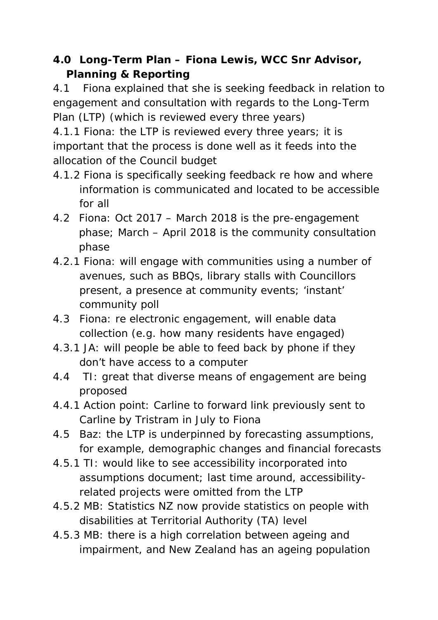## **4.0 Long-Term Plan – Fiona Lewis, WCC Snr Advisor, Planning & Reporting**

4.1 Fiona explained that she is seeking feedback in relation to engagement and consultation with regards to the Long-Term Plan (LTP) (which is reviewed every three years)

4.1.1 Fiona: the LTP is reviewed every three years; it is important that the process is done well as it feeds into the allocation of the Council budget

- 4.1.2 Fiona is specifically seeking feedback re how and where information is communicated and located to be accessible for all
- 4.2 Fiona: Oct 2017 March 2018 is the pre-engagement phase; March – April 2018 is the community consultation phase
- 4.2.1 Fiona: will engage with communities using a number of avenues, such as BBQs, library stalls with Councillors present, a presence at community events; 'instant' community poll
- 4.3 Fiona: re electronic engagement, will enable data collection (e.g. how many residents have engaged)
- 4.3.1 JA: will people be able to feed back by phone if they don't have access to a computer
- 4.4 TI: great that diverse means of engagement are being proposed
- 4.4.1 *Action point:* Carline to forward link previously sent to Carline by Tristram in July to Fiona
- 4.5 Baz: the LTP is underpinned by forecasting assumptions, for example, demographic changes and financial forecasts
- 4.5.1 TI: would like to see accessibility incorporated into assumptions document; last time around, accessibilityrelated projects were omitted from the LTP
- 4.5.2 MB: Statistics NZ now provide statistics on people with disabilities at Territorial Authority (TA) level
- 4.5.3 MB: there is a high correlation between ageing and impairment, and New Zealand has an ageing population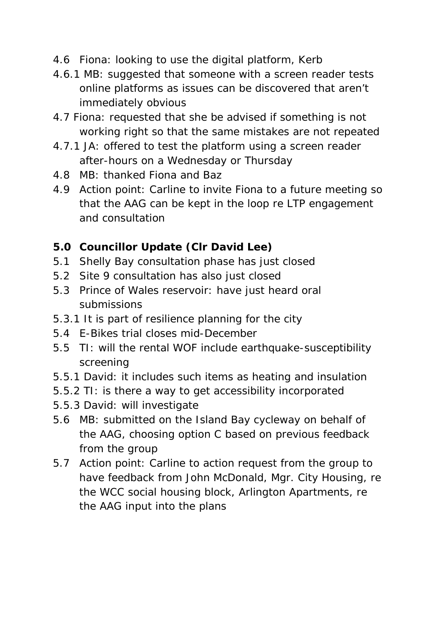- 4.6 Fiona: looking to use the digital platform, Kerb
- 4.6.1 MB: suggested that someone with a screen reader tests online platforms as issues can be discovered that aren't immediately obvious
- 4.7 Fiona: requested that she be advised if something is not working right so that the same mistakes are not repeated
- 4.7.1 JA: offered to test the platform using a screen reader after-hours on a Wednesday or Thursday
- 4.8 MB: thanked Fiona and Baz
- 4.9 *Action point:* Carline to invite Fiona to a future meeting so that the AAG can be kept in the loop re LTP engagement and consultation

### **5.0 Councillor Update (Clr David Lee)**

- 5.1 Shelly Bay consultation phase has just closed
- 5.2 Site 9 consultation has also just closed
- 5.3 Prince of Wales reservoir: have just heard oral submissions
- 5.3.1 It is part of resilience planning for the city
- 5.4 E-Bikes trial closes mid-December
- 5.5 TI: will the rental WOF include earthquake-susceptibility screening
- 5.5.1 David: it includes such items as heating and insulation
- 5.5.2 TI: is there a way to get accessibility incorporated
- 5.5.3 David: will investigate
- 5.6 MB: submitted on the Island Bay cycleway on behalf of the AAG, choosing option C based on previous feedback from the group
- 5.7 *Action point:* Carline to action request from the group to have feedback from John McDonald, Mgr. City Housing, re the WCC social housing block, Arlington Apartments, re the AAG input into the plans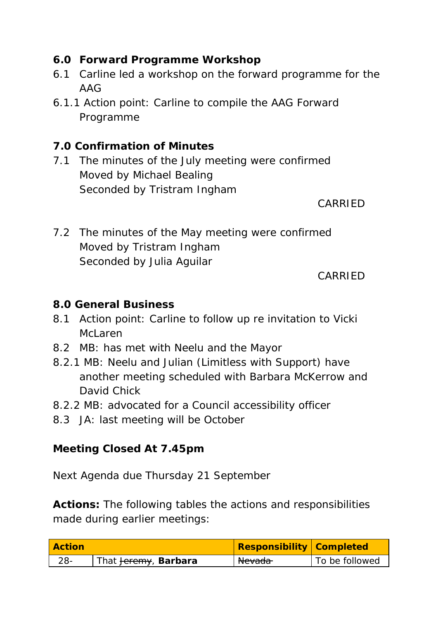## **6.0 Forward Programme Workshop**

- 6.1 Carline led a workshop on the forward programme for the AAG
- 6.1.1 *Action point:* Carline to compile the AAG Forward Programme

## **7.0 Confirmation of Minutes**

7.1 The minutes of the July meeting were confirmed Moved by Michael Bealing Seconded by Tristram Ingham

CARRIED

7.2 The minutes of the May meeting were confirmed Moved by Tristram Ingham Seconded by Julia Aguilar

#### CARRIED

### **8.0 General Business**

- 8.1 *Action point:* Carline to follow up re invitation to Vicki McLaren
- 8.2 MB: has met with Neelu and the Mayor
- 8.2.1 MB: Neelu and Julian (Limitless with Support) have another meeting scheduled with Barbara McKerrow and David Chick
- 8.2.2 MB: advocated for a Council accessibility officer
- 8.3 JA: last meeting will be October

### **Meeting Closed At 7.45pm**

Next Agenda due Thursday 21 September

**Actions:** The following tables the actions and responsibilities made during earlier meetings:

| <b>Action</b> |                                         | <b>Responsibility Completed</b> |                |
|---------------|-----------------------------------------|---------------------------------|----------------|
| 28-           | That <del>Jeremy</del> , <b>Barbara</b> | Nevada                          | To be followed |